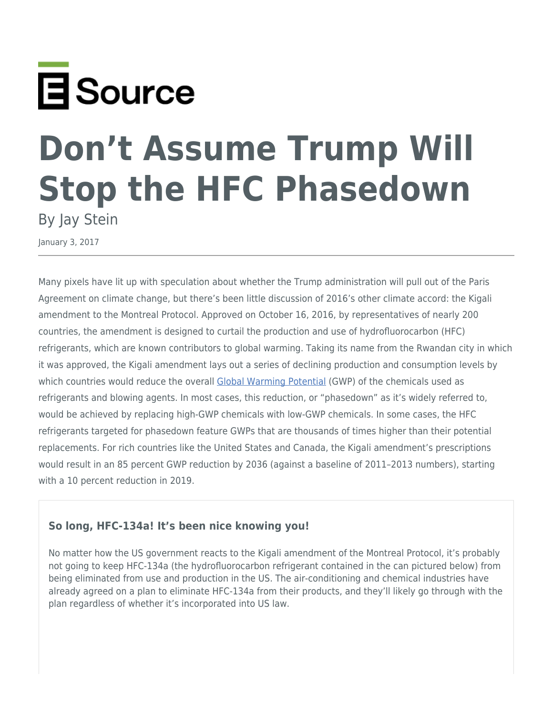

## **Don't Assume Trump Will Stop the HFC Phasedown**

By Jay Stein

January 3, 2017

Many pixels have lit up with speculation about whether the Trump administration will pull out of the Paris Agreement on climate change, but there's been little discussion of 2016's other climate accord: the Kigali amendment to the Montreal Protocol. Approved on October 16, 2016, by representatives of nearly 200 countries, the amendment is designed to curtail the production and use of hydrofluorocarbon (HFC) refrigerants, which are known contributors to global warming. Taking its name from the Rwandan city in which it was approved, the Kigali amendment lays out a series of declining production and consumption levels by which countries would reduce the overall [Global Warming Potential](https://www.epa.gov/ghgemissions/understanding-global-warming-potentials) (GWP) of the chemicals used as refrigerants and blowing agents. In most cases, this reduction, or "phasedown" as it's widely referred to, would be achieved by replacing high-GWP chemicals with low-GWP chemicals. In some cases, the HFC refrigerants targeted for phasedown feature GWPs that are thousands of times higher than their potential replacements. For rich countries like the United States and Canada, the Kigali amendment's prescriptions would result in an 85 percent GWP reduction by 2036 (against a baseline of 2011–2013 numbers), starting with a 10 percent reduction in 2019.

## **So long, HFC-134a! It's been nice knowing you!**

No matter how the US government reacts to the Kigali amendment of the Montreal Protocol, it's probably not going to keep HFC-134a (the hydrofluorocarbon refrigerant contained in the can pictured below) from being eliminated from use and production in the US. The air-conditioning and chemical industries have already agreed on a plan to eliminate HFC-134a from their products, and they'll likely go through with the plan regardless of whether it's incorporated into US law.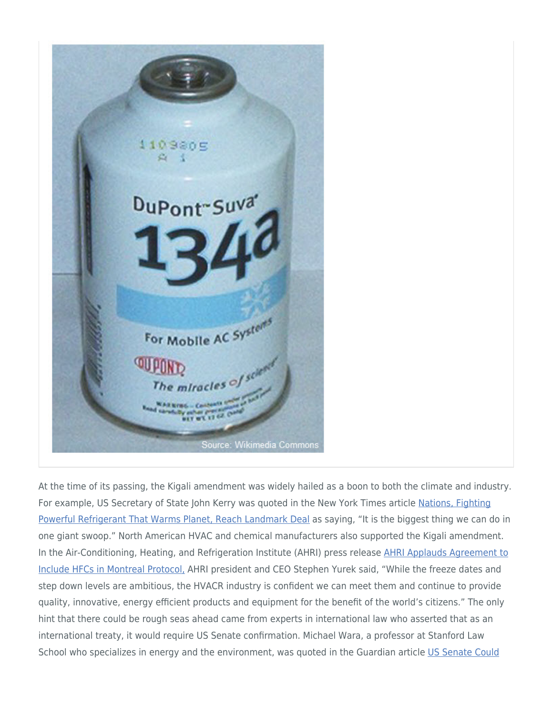

At the time of its passing, the Kigali amendment was widely hailed as a boon to both the climate and industry. For example, US Secretary of State John Kerry was quoted in the New York Times article [Nations, Fighting](http://www.nytimes.com/2016/10/15/world/africa/kigali-deal-hfc-air-conditioners.html?_r=1) [Powerful Refrigerant That Warms Planet, Reach Landmark Deal](http://www.nytimes.com/2016/10/15/world/africa/kigali-deal-hfc-air-conditioners.html?_r=1) as saying, "It is the biggest thing we can do in one giant swoop." North American HVAC and chemical manufacturers also supported the Kigali amendment. In the Air-Conditioning, Heating, and Refrigeration Institute (AHRI) press release [AHRI Applauds Agreement to](http://www.ahrinet.org/News-Events/News-and-Shipping-Releases.aspx?A=1203) [Include HFCs in Montreal Protocol,](http://www.ahrinet.org/News-Events/News-and-Shipping-Releases.aspx?A=1203) AHRI president and CEO Stephen Yurek said, "While the freeze dates and step down levels are ambitious, the HVACR industry is confident we can meet them and continue to provide quality, innovative, energy efficient products and equipment for the benefit of the world's citizens." The only hint that there could be rough seas ahead came from experts in international law who asserted that as an international treaty, it would require US Senate confirmation. Michael Wara, a professor at Stanford Law School who specializes in energy and the environment, was quoted in the Guardian article [US Senate Could](https://www.theguardian.com/environment/2016/oct/18/us-senate-could-block-landmark-hfc-climate-treaty-legal-experts-warn)